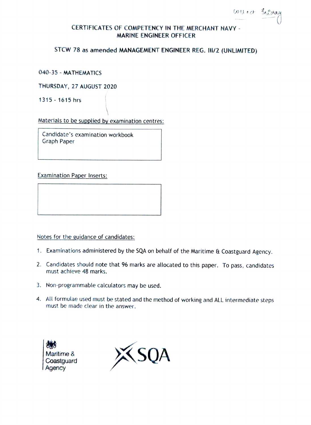courect Informace

# CERTIFICATES OF COMPETENCY IN THE MERCHANT NAVY-MARINE ENGINEER OFFICER

## STCW 78 as amended MANAGEMENT ENGINEER REG. I1/2 (UNLIMITED)

040-35-MATHEMATICS

THURSDAY, 27 AUGUST 2020

1315 - 1615 hrs

Materials to be supplied by examination centres:

Candidate's examination workbook Graph Paper

Examination Paper Inserts:

Notes for the guidance of candidates:

- 1. Examinations administered by the SQA on behalf of the Maritime & Coastguard Agency.
- 2. Candidates should note that 96 marks are allocated to this paper. To pass, candidates must achieve 48 marks.
- 3. Non-programmable calculators may be used.
- 4. All formulae used must be stated and the method of working and ALL intermediate steps must be made clear in the answer.



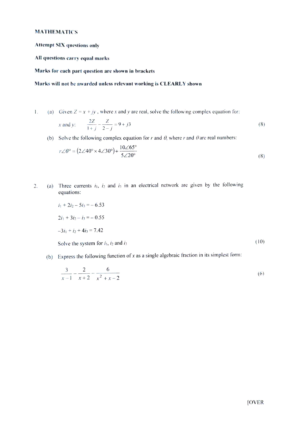#### MATHEMATICS

Attempt SIX questions only

All questions carry equal marks

#### Marks for each part question are shown in brackets

#### Marks will not be awarded unless relevant working is CLEARLY shown

1. (a) Given  $Z = x + jy$ , where x and y are real, solve the following complex equation for:

$$
x \text{ and } y: \qquad \frac{2Z}{1+j} - \frac{Z}{2-j} = 9 + j3 \tag{8}
$$

(b) Solve the following complex equation for r and  $\theta$ , where r and  $\theta$  are real numbers:

$$
r\angle\theta^{\circ} = (2\angle 40^{\circ} \times 4\angle 30^{\circ}) + \frac{10\angle 65^{\circ}}{5\angle 20^{\circ}}
$$
\n(8)

2. (a) Three currents  $i_1$ ,  $i_2$  and  $i_3$  in an electrical network are given by the following equations:

$$
i_1 + 2i_2 - 5i_3 = -6.53
$$
  

$$
2i_1 + 3i_2 - i_3 = -0.55
$$
  

$$
-3i_1 + i_2 + 4i_3 = 7.42
$$

Solve the system for  $i_1$ ,  $i_2$  and  $i_3$  (10)

(b) Express the following function of x as a single algebraic fraction in its simplest form:

$$
\frac{3}{x-1} - \frac{2}{x+2} - \frac{6}{x^2 + x - 2} \tag{6}
$$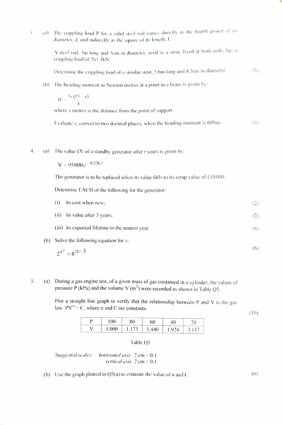| 3. | $\left( n\right)$ | The crippling load P for a solid steel rod varies directly as the fourth power of its<br>diameter, d, and indirectly as the square of its length, $L$ . |     |  |
|----|-------------------|---------------------------------------------------------------------------------------------------------------------------------------------------------|-----|--|
|    |                   | A steel rod, 3m long and 5cm in diameter, used as a strut, fixed at both ends, has a<br>crippling load of 265.4kN.                                      |     |  |
|    |                   | Determine the crippling load of a similar strut, 2.6m long and 4.5cm in diameter.                                                                       | (8) |  |
|    | (b)               | The bending moment in Newton metres at a point in a beam is given by:                                                                                   |     |  |
|    |                   | $M = \frac{5x(15-x)}{4}$                                                                                                                                |     |  |
|    |                   | where $x$ metres is the distance from the point of support.                                                                                             |     |  |
|    |                   | Evaluate $x$ , correct to two decimal places, when the bending moment is 60 $Nm$                                                                        | (8) |  |
|    |                   |                                                                                                                                                         |     |  |
| 4. | (a)               | The value $fV$ of a standby generator after <i>t</i> years is given by:                                                                                 |     |  |
|    |                   | $V = 95000e^{-0.226 t}$                                                                                                                                 |     |  |
|    |                   | The generator is to be replaced when its value falls to its scrap value of $£10000$ .                                                                   |     |  |
|    |                   | Determine EACH of the following for the generator:                                                                                                      |     |  |
|    |                   | its cost when new;<br>(i)                                                                                                                               | (2) |  |
|    |                   | (ii) its value after 5 years;                                                                                                                           | (2) |  |
|    |                   | (iii) its expected lifetime to the nearest year.                                                                                                        | (6) |  |
|    | (b)               | Solve the following equation for $x$ :                                                                                                                  |     |  |
|    |                   | $2^{x^2} = 8^{2x-3}$                                                                                                                                    | (6) |  |

(a) During a gas engine test, of a given mass of gas contained in a cylinder, the values of pressure P (kPa) and the volume V (m<sup>3</sup>) were recorded as shown in Table Q5. 5.

> Plot a straight line graph to verify that the relationship between P and V is the gas law  $PV^n = C$ , where n and C are constants.

| 00   | 80    | 60    | 10    |      |
|------|-------|-------|-------|------|
| .000 | 1.173 | 1.440 | 1.924 | 3157 |

### Table Q5

Suggested scales: horizontal axis  $2 \text{ cm} = 0.1$ vertical axis  $2 \text{ cm} = 0.1$ 

(b) Use the graph plotted in  $Q5(a)$  to estimate the value of n and C. (6)

(10)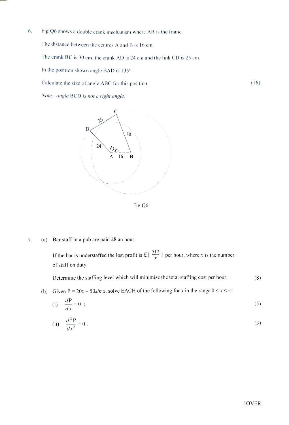6. Fig Q6 shows a double crank mechanism where AB is the frame.

The distance between the centres A and B is 16 cm.

The crank BC is 30 cm, the erank AD is 24 cm and the link CD is 25 cm.

In the position shown angle BAD is 135°.

Calculate the size of angle ABC for this position. (16)

Note: angle BCD is not a right angle.



Fig Q6

7. (a) Bar staff in a pub are paid £8 an hour.

If the bar is understaffed the lost profit is  $\mathfrak{L} \left\{ \frac{512}{x} \right\}$  per hour, where x is the number of staff on duty.

Determine the staffing level which will minimise the total staffing cost per hour.  $(8)$ 

(b) Given  $P = 20x - 50sin x$ , solve EACH of the following for x in the range  $0 \le x \le \pi$ :

$$
(i) \quad \frac{dP}{dx} = 0 \tag{5}
$$

(ii) 
$$
\frac{d^2 P}{dx^2} = 0.
$$
 (3)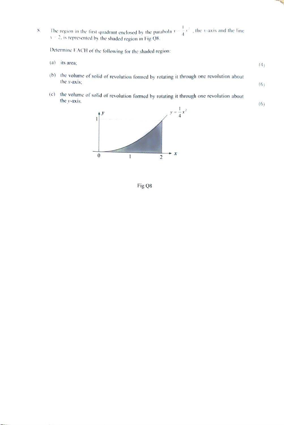8. The region in the first quadrant enclosed by the parabola  $\bar{y} = \frac{1}{4}x^2$ , the x-axis and the line  $x = 2$ , is represented by the shaded region in Fig Q8.

Determine EACH of the following for the shaded region:

- (a) its area;  $(4)$
- 6) the volume of solid of revolution formed by rotating it through one revolution about the x-axis;  $(6)$
- $\alpha$  the volume of solid of revolution formed by rotating it through one revolution about the y-axis.  $(6)$



Fig Q8